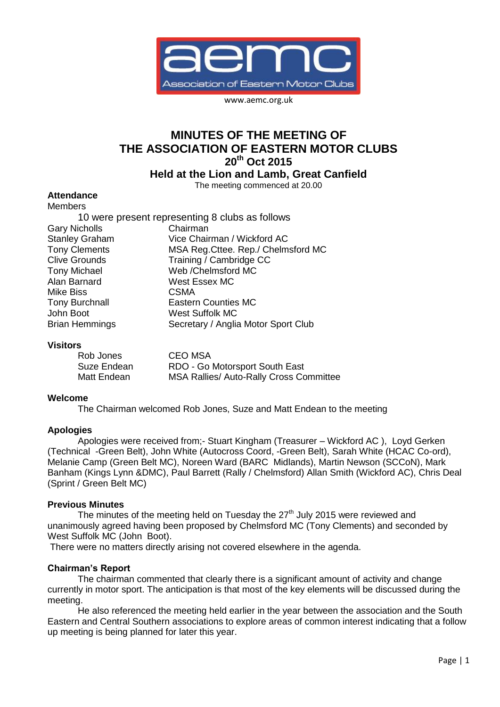

www.aemc.org.uk

# **MINUTES OF THE MEETING OF THE ASSOCIATION OF EASTERN MOTOR CLUBS 20th Oct 2015**

**Held at the Lion and Lamb, Great Canfield**

The meeting commenced at 20.00

#### **Attendance**

| <b>Members</b>        |                                                 |
|-----------------------|-------------------------------------------------|
|                       | 10 were present representing 8 clubs as follows |
| <b>Gary Nicholls</b>  | Chairman                                        |
| <b>Stanley Graham</b> | Vice Chairman / Wickford AC                     |
| <b>Tony Clements</b>  | MSA Reg. Cttee. Rep./ Chelmsford MC             |
| <b>Clive Grounds</b>  | Training / Cambridge CC                         |
| <b>Tony Michael</b>   | Web / Chelmsford MC                             |
| Alan Barnard          | <b>West Essex MC</b>                            |
| <b>Mike Biss</b>      | <b>CSMA</b>                                     |
| <b>Tony Burchnall</b> | <b>Eastern Counties MC</b>                      |
| John Boot             | <b>West Suffolk MC</b>                          |
| <b>Brian Hemmings</b> | Secretary / Anglia Motor Sport Club             |

#### **Visitors**

| Rob Jones   | CEO MSA                                        |
|-------------|------------------------------------------------|
| Suze Endean | RDO - Go Motorsport South East                 |
| Matt Endean | <b>MSA Rallies/ Auto-Rally Cross Committee</b> |

#### **Welcome**

The Chairman welcomed Rob Jones, Suze and Matt Endean to the meeting

#### **Apologies**

Apologies were received from;- Stuart Kingham (Treasurer – Wickford AC ), Loyd Gerken (Technical -Green Belt), John White (Autocross Coord, -Green Belt), Sarah White (HCAC Co-ord), Melanie Camp (Green Belt MC), Noreen Ward (BARC Midlands), Martin Newson (SCCoN), Mark Banham (Kings Lynn &DMC), Paul Barrett (Rally / Chelmsford) Allan Smith (Wickford AC), Chris Deal (Sprint / Green Belt MC)

#### **Previous Minutes**

The minutes of the meeting held on Tuesday the  $27<sup>th</sup>$  July 2015 were reviewed and unanimously agreed having been proposed by Chelmsford MC (Tony Clements) and seconded by West Suffolk MC (John Boot).

There were no matters directly arising not covered elsewhere in the agenda.

#### **Chairman's Report**

The chairman commented that clearly there is a significant amount of activity and change currently in motor sport. The anticipation is that most of the key elements will be discussed during the meeting.

He also referenced the meeting held earlier in the year between the association and the South Eastern and Central Southern associations to explore areas of common interest indicating that a follow up meeting is being planned for later this year.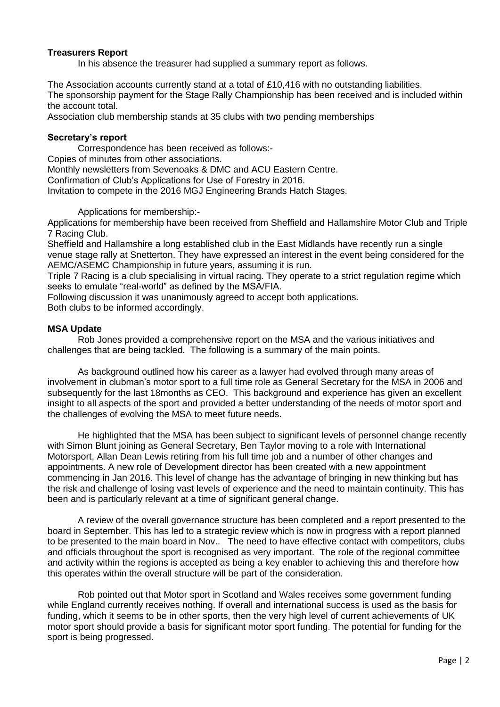### **Treasurers Report**

In his absence the treasurer had supplied a summary report as follows.

The Association accounts currently stand at a total of £10,416 with no outstanding liabilities. The sponsorship payment for the Stage Rally Championship has been received and is included within the account total.

Association club membership stands at 35 clubs with two pending memberships

#### **Secretary's report**

Correspondence has been received as follows:-

Copies of minutes from other associations.

Monthly newsletters from Sevenoaks & DMC and ACU Eastern Centre.

Confirmation of Club's Applications for Use of Forestry in 2016.

Invitation to compete in the 2016 MGJ Engineering Brands Hatch Stages.

Applications for membership:-

Applications for membership have been received from Sheffield and Hallamshire Motor Club and Triple 7 Racing Club.

Sheffield and Hallamshire a long established club in the East Midlands have recently run a single venue stage rally at Snetterton. They have expressed an interest in the event being considered for the AEMC/ASEMC Championship in future years, assuming it is run.

Triple 7 Racing is a club specialising in virtual racing. They operate to a strict regulation regime which seeks to emulate "real-world" as defined by the MSA/FIA.

Following discussion it was unanimously agreed to accept both applications.

Both clubs to be informed accordingly.

### **MSA Update**

Rob Jones provided a comprehensive report on the MSA and the various initiatives and challenges that are being tackled. The following is a summary of the main points.

As background outlined how his career as a lawyer had evolved through many areas of involvement in clubman's motor sport to a full time role as General Secretary for the MSA in 2006 and subsequently for the last 18months as CEO. This background and experience has given an excellent insight to all aspects of the sport and provided a better understanding of the needs of motor sport and the challenges of evolving the MSA to meet future needs.

He highlighted that the MSA has been subject to significant levels of personnel change recently with Simon Blunt joining as General Secretary, Ben Taylor moving to a role with International Motorsport, Allan Dean Lewis retiring from his full time job and a number of other changes and appointments. A new role of Development director has been created with a new appointment commencing in Jan 2016. This level of change has the advantage of bringing in new thinking but has the risk and challenge of losing vast levels of experience and the need to maintain continuity. This has been and is particularly relevant at a time of significant general change.

A review of the overall governance structure has been completed and a report presented to the board in September. This has led to a strategic review which is now in progress with a report planned to be presented to the main board in Nov.. The need to have effective contact with competitors, clubs and officials throughout the sport is recognised as very important. The role of the regional committee and activity within the regions is accepted as being a key enabler to achieving this and therefore how this operates within the overall structure will be part of the consideration.

Rob pointed out that Motor sport in Scotland and Wales receives some government funding while England currently receives nothing. If overall and international success is used as the basis for funding, which it seems to be in other sports, then the very high level of current achievements of UK motor sport should provide a basis for significant motor sport funding. The potential for funding for the sport is being progressed.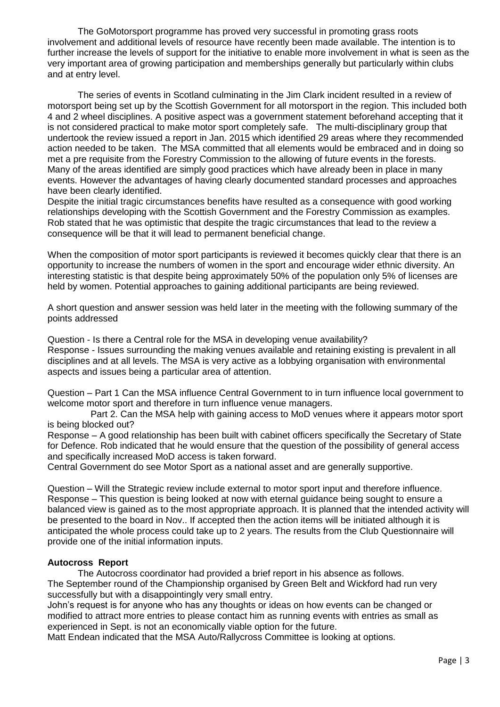The GoMotorsport programme has proved very successful in promoting grass roots involvement and additional levels of resource have recently been made available. The intention is to further increase the levels of support for the initiative to enable more involvement in what is seen as the very important area of growing participation and memberships generally but particularly within clubs and at entry level.

The series of events in Scotland culminating in the Jim Clark incident resulted in a review of motorsport being set up by the Scottish Government for all motorsport in the region. This included both 4 and 2 wheel disciplines. A positive aspect was a government statement beforehand accepting that it is not considered practical to make motor sport completely safe. The multi-disciplinary group that undertook the review issued a report in Jan. 2015 which identified 29 areas where they recommended action needed to be taken. The MSA committed that all elements would be embraced and in doing so met a pre requisite from the Forestry Commission to the allowing of future events in the forests. Many of the areas identified are simply good practices which have already been in place in many events. However the advantages of having clearly documented standard processes and approaches have been clearly identified.

Despite the initial tragic circumstances benefits have resulted as a consequence with good working relationships developing with the Scottish Government and the Forestry Commission as examples. Rob stated that he was optimistic that despite the tragic circumstances that lead to the review a consequence will be that it will lead to permanent beneficial change.

When the composition of motor sport participants is reviewed it becomes quickly clear that there is an opportunity to increase the numbers of women in the sport and encourage wider ethnic diversity. An interesting statistic is that despite being approximately 50% of the population only 5% of licenses are held by women. Potential approaches to gaining additional participants are being reviewed.

A short question and answer session was held later in the meeting with the following summary of the points addressed

Question - Is there a Central role for the MSA in developing venue availability? Response - Issues surrounding the making venues available and retaining existing is prevalent in all disciplines and at all levels. The MSA is very active as a lobbying organisation with environmental aspects and issues being a particular area of attention.

Question – Part 1 Can the MSA influence Central Government to in turn influence local government to welcome motor sport and therefore in turn influence venue managers.

 Part 2. Can the MSA help with gaining access to MoD venues where it appears motor sport is being blocked out?

Response – A good relationship has been built with cabinet officers specifically the Secretary of State for Defence. Rob indicated that he would ensure that the question of the possibility of general access and specifically increased MoD access is taken forward.

Central Government do see Motor Sport as a national asset and are generally supportive.

Question – Will the Strategic review include external to motor sport input and therefore influence. Response – This question is being looked at now with eternal guidance being sought to ensure a balanced view is gained as to the most appropriate approach. It is planned that the intended activity will be presented to the board in Nov.. If accepted then the action items will be initiated although it is anticipated the whole process could take up to 2 years. The results from the Club Questionnaire will provide one of the initial information inputs.

### **Autocross Report**

The Autocross coordinator had provided a brief report in his absence as follows. The September round of the Championship organised by Green Belt and Wickford had run very successfully but with a disappointingly very small entry.

John's request is for anyone who has any thoughts or ideas on how events can be changed or modified to attract more entries to please contact him as running events with entries as small as experienced in Sept. is not an economically viable option for the future.

Matt Endean indicated that the MSA Auto/Rallycross Committee is looking at options.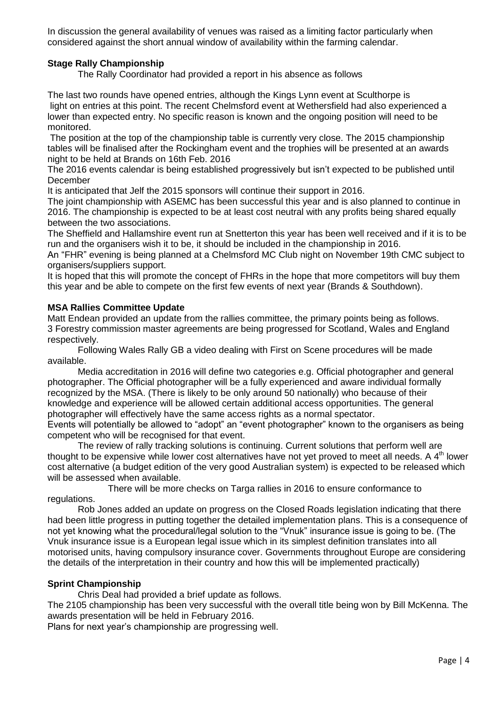In discussion the general availability of venues was raised as a limiting factor particularly when considered against the short annual window of availability within the farming calendar.

# **Stage Rally Championship**

The Rally Coordinator had provided a report in his absence as follows

The last two rounds have opened entries, although the Kings Lynn event at Sculthorpe is light on entries at this point. The recent Chelmsford event at Wethersfield had also experienced a lower than expected entry. No specific reason is known and the ongoing position will need to be monitored.

The position at the top of the championship table is currently very close. The 2015 championship tables will be finalised after the Rockingham event and the trophies will be presented at an awards night to be held at Brands on 16th Feb. 2016

The 2016 events calendar is being established progressively but isn't expected to be published until December

It is anticipated that Jelf the 2015 sponsors will continue their support in 2016.

The joint championship with ASEMC has been successful this year and is also planned to continue in 2016. The championship is expected to be at least cost neutral with any profits being shared equally between the two associations.

The Sheffield and Hallamshire event run at Snetterton this year has been well received and if it is to be run and the organisers wish it to be, it should be included in the championship in 2016.

An "FHR" evening is being planned at a Chelmsford MC Club night on November 19th CMC subject to organisers/suppliers support.

It is hoped that this will promote the concept of FHRs in the hope that more competitors will buy them this year and be able to compete on the first few events of next year (Brands & Southdown).

### **MSA Rallies Committee Update**

Matt Endean provided an update from the rallies committee, the primary points being as follows. 3 Forestry commission master agreements are being progressed for Scotland, Wales and England respectively.

Following Wales Rally GB a video dealing with First on Scene procedures will be made available.

Media accreditation in 2016 will define two categories e.g. Official photographer and general photographer. The Official photographer will be a fully experienced and aware individual formally recognized by the MSA. (There is likely to be only around 50 nationally) who because of their knowledge and experience will be allowed certain additional access opportunities. The general photographer will effectively have the same access rights as a normal spectator.

Events will potentially be allowed to "adopt" an "event photographer" known to the organisers as being competent who will be recognised for that event.

The review of rally tracking solutions is continuing. Current solutions that perform well are thought to be expensive while lower cost alternatives have not yet proved to meet all needs. A  $4<sup>th</sup>$  lower cost alternative (a budget edition of the very good Australian system) is expected to be released which will be assessed when available.

There will be more checks on Targa rallies in 2016 to ensure conformance to regulations.

Rob Jones added an update on progress on the Closed Roads legislation indicating that there had been little progress in putting together the detailed implementation plans. This is a consequence of not yet knowing what the procedural/legal solution to the "Vnuk" insurance issue is going to be. (The Vnuk insurance issue is a European legal issue which in its simplest definition translates into all motorised units, having compulsory insurance cover. Governments throughout Europe are considering the details of the interpretation in their country and how this will be implemented practically)

### **Sprint Championship**

Chris Deal had provided a brief update as follows.

The 2105 championship has been very successful with the overall title being won by Bill McKenna. The awards presentation will be held in February 2016.

Plans for next year's championship are progressing well.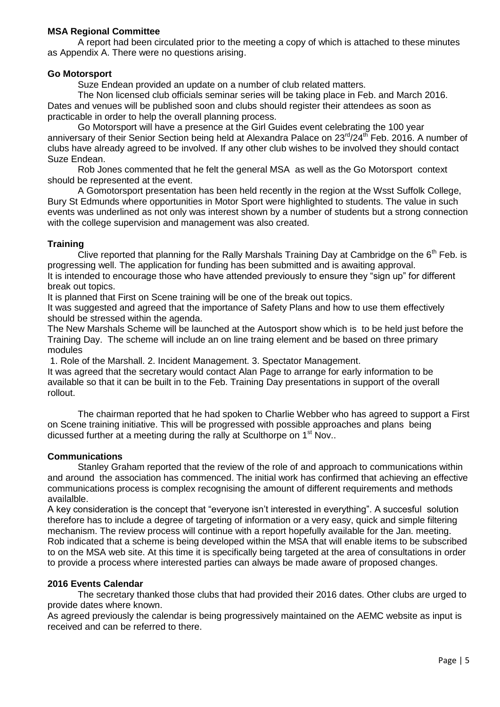# **MSA Regional Committee**

A report had been circulated prior to the meeting a copy of which is attached to these minutes as Appendix A. There were no questions arising.

### **Go Motorsport**

Suze Endean provided an update on a number of club related matters.

The Non licensed club officials seminar series will be taking place in Feb. and March 2016. Dates and venues will be published soon and clubs should register their attendees as soon as practicable in order to help the overall planning process.

Go Motorsport will have a presence at the Girl Guides event celebrating the 100 year anniversary of their Senior Section being held at Alexandra Palace on  $23^{\text{rd}}/24^{\text{th}}$  Feb. 2016. A number of clubs have already agreed to be involved. If any other club wishes to be involved they should contact Suze Endean.

Rob Jones commented that he felt the general MSA as well as the Go Motorsport context should be represented at the event.

A Gomotorsport presentation has been held recently in the region at the Wsst Suffolk College, Bury St Edmunds where opportunities in Motor Sport were highlighted to students. The value in such events was underlined as not only was interest shown by a number of students but a strong connection with the college supervision and management was also created.

### **Training**

Clive reported that planning for the Rally Marshals Training Day at Cambridge on the  $6<sup>th</sup>$  Feb. is progressing well. The application for funding has been submitted and is awaiting approval. It is intended to encourage those who have attended previously to ensure they "sign up" for different break out topics.

It is planned that First on Scene training will be one of the break out topics.

It was suggested and agreed that the importance of Safety Plans and how to use them effectively should be stressed within the agenda.

The New Marshals Scheme will be launched at the Autosport show which is to be held just before the Training Day. The scheme will include an on line traing element and be based on three primary modules

1. Role of the Marshall. 2. Incident Management. 3. Spectator Management.

It was agreed that the secretary would contact Alan Page to arrange for early information to be available so that it can be built in to the Feb. Training Day presentations in support of the overall rollout.

The chairman reported that he had spoken to Charlie Webber who has agreed to support a First on Scene training initiative. This will be progressed with possible approaches and plans being dicussed further at a meeting during the rally at Sculthorpe on  $1<sup>st</sup>$  Nov..

### **Communications**

Stanley Graham reported that the review of the role of and approach to communications within and around the association has commenced. The initial work has confirmed that achieving an effective communications process is complex recognising the amount of different requirements and methods availalble.

A key consideration is the concept that "everyone isn't interested in everything". A succesful solution therefore has to include a degree of targeting of information or a very easy, quick and simple filtering mechanism. The review process will continue with a report hopefully available for the Jan. meeting. Rob indicated that a scheme is being developed within the MSA that will enable items to be subscribed to on the MSA web site. At this time it is specifically being targeted at the area of consultations in order to provide a process where interested parties can always be made aware of proposed changes.

### **2016 Events Calendar**

The secretary thanked those clubs that had provided their 2016 dates. Other clubs are urged to provide dates where known.

As agreed previously the calendar is being progressively maintained on the AEMC website as input is received and can be referred to there.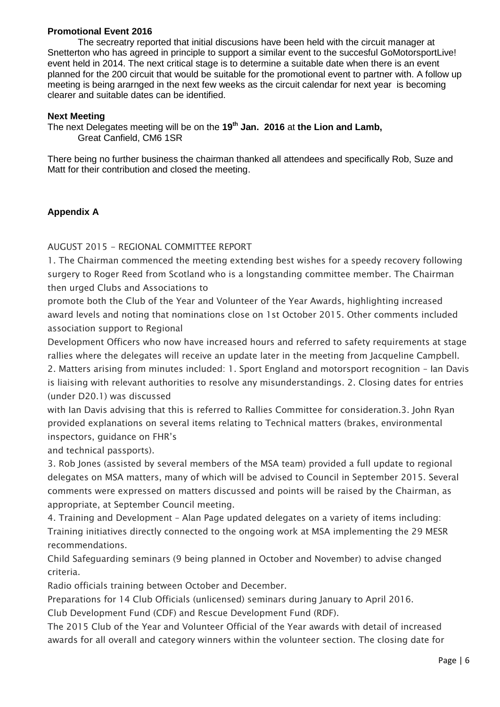# **Promotional Event 2016**

The secreatry reported that initial discusions have been held with the circuit manager at Snetterton who has agreed in principle to support a similar event to the succesful GoMotorsportLive! event held in 2014. The next critical stage is to determine a suitable date when there is an event planned for the 200 circuit that would be suitable for the promotional event to partner with. A follow up meeting is being ararnged in the next few weeks as the circuit calendar for next year is becoming clearer and suitable dates can be identified.

### **Next Meeting**

The next Delegates meeting will be on the **19th Jan. 2016** at **the Lion and Lamb,**  Great Canfield, CM6 1SR

There being no further business the chairman thanked all attendees and specifically Rob, Suze and Matt for their contribution and closed the meeting.

# **Appendix A**

AUGUST 2015 - REGIONAL COMMITTEE REPORT

1. The Chairman commenced the meeting extending best wishes for a speedy recovery following surgery to Roger Reed from Scotland who is a longstanding committee member. The Chairman then urged Clubs and Associations to

promote both the Club of the Year and Volunteer of the Year Awards, highlighting increased award levels and noting that nominations close on 1st October 2015. Other comments included association support to Regional

Development Officers who now have increased hours and referred to safety requirements at stage rallies where the delegates will receive an update later in the meeting from Jacqueline Campbell. 2. Matters arising from minutes included: 1. Sport England and motorsport recognition – Ian Davis is liaising with relevant authorities to resolve any misunderstandings. 2. Closing dates for entries (under D20.1) was discussed

with Ian Davis advising that this is referred to Rallies Committee for consideration.3. John Ryan provided explanations on several items relating to Technical matters (brakes, environmental inspectors, guidance on FHR's

and technical passports).

3. Rob Jones (assisted by several members of the MSA team) provided a full update to regional delegates on MSA matters, many of which will be advised to Council in September 2015. Several comments were expressed on matters discussed and points will be raised by the Chairman, as appropriate, at September Council meeting.

4. Training and Development – Alan Page updated delegates on a variety of items including: Training initiatives directly connected to the ongoing work at MSA implementing the 29 MESR recommendations.

Child Safeguarding seminars (9 being planned in October and November) to advise changed criteria.

Radio officials training between October and December.

Preparations for 14 Club Officials (unlicensed) seminars during January to April 2016.

Club Development Fund (CDF) and Rescue Development Fund (RDF).

The 2015 Club of the Year and Volunteer Official of the Year awards with detail of increased awards for all overall and category winners within the volunteer section. The closing date for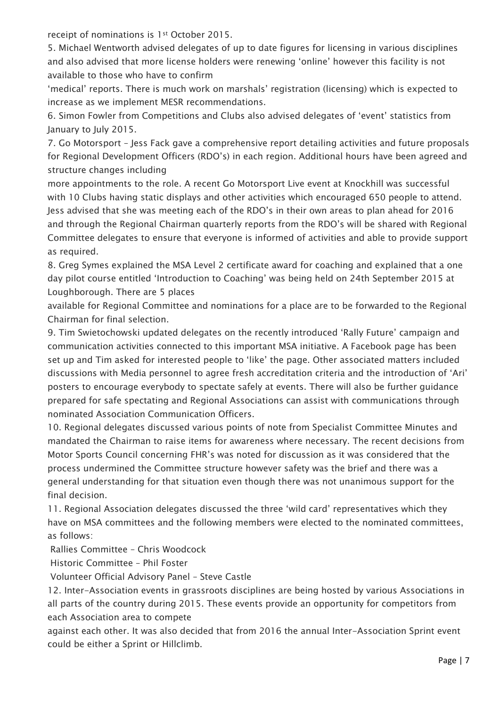receipt of nominations is 1st October 2015.

5. Michael Wentworth advised delegates of up to date figures for licensing in various disciplines and also advised that more license holders were renewing 'online' however this facility is not available to those who have to confirm

'medical' reports. There is much work on marshals' registration (licensing) which is expected to increase as we implement MESR recommendations.

6. Simon Fowler from Competitions and Clubs also advised delegates of 'event' statistics from January to July 2015.

7. Go Motorsport – Jess Fack gave a comprehensive report detailing activities and future proposals for Regional Development Officers (RDO's) in each region. Additional hours have been agreed and structure changes including

more appointments to the role. A recent Go Motorsport Live event at Knockhill was successful with 10 Clubs having static displays and other activities which encouraged 650 people to attend. Jess advised that she was meeting each of the RDO's in their own areas to plan ahead for 2016 and through the Regional Chairman quarterly reports from the RDO's will be shared with Regional Committee delegates to ensure that everyone is informed of activities and able to provide support as required.

8. Greg Symes explained the MSA Level 2 certificate award for coaching and explained that a one day pilot course entitled 'Introduction to Coaching' was being held on 24th September 2015 at Loughborough. There are 5 places

available for Regional Committee and nominations for a place are to be forwarded to the Regional Chairman for final selection.

9. Tim Swietochowski updated delegates on the recently introduced 'Rally Future' campaign and communication activities connected to this important MSA initiative. A Facebook page has been set up and Tim asked for interested people to 'like' the page. Other associated matters included discussions with Media personnel to agree fresh accreditation criteria and the introduction of 'Ari' posters to encourage everybody to spectate safely at events. There will also be further guidance prepared for safe spectating and Regional Associations can assist with communications through nominated Association Communication Officers.

10. Regional delegates discussed various points of note from Specialist Committee Minutes and mandated the Chairman to raise items for awareness where necessary. The recent decisions from Motor Sports Council concerning FHR's was noted for discussion as it was considered that the process undermined the Committee structure however safety was the brief and there was a general understanding for that situation even though there was not unanimous support for the final decision.

11. Regional Association delegates discussed the three 'wild card' representatives which they have on MSA committees and the following members were elected to the nominated committees, as follows:

Rallies Committee – Chris Woodcock

Historic Committee – Phil Foster

Volunteer Official Advisory Panel – Steve Castle

12. Inter-Association events in grassroots disciplines are being hosted by various Associations in all parts of the country during 2015. These events provide an opportunity for competitors from each Association area to compete

against each other. It was also decided that from 2016 the annual Inter-Association Sprint event could be either a Sprint or Hillclimb.